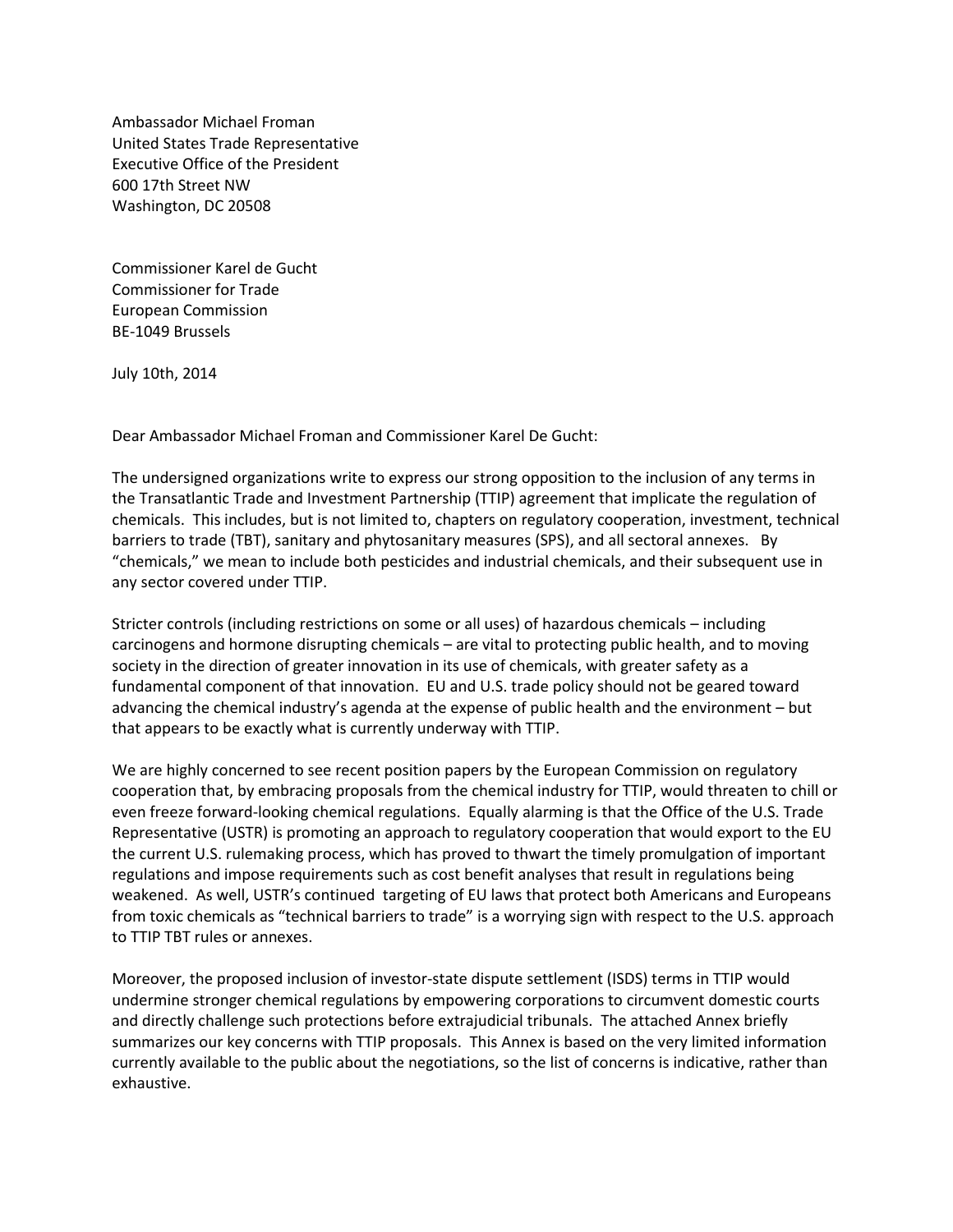Ambassador Michael Froman United States Trade Representative Executive Office of the President 600 17th Street NW Washington, DC 20508

Commissioner Karel de Gucht Commissioner for Trade European Commission BE-1049 Brussels

July 10th, 2014

Dear Ambassador Michael Froman and Commissioner Karel De Gucht:

The undersigned organizations write to express our strong opposition to the inclusion of any terms in the Transatlantic Trade and Investment Partnership (TTIP) agreement that implicate the regulation of chemicals. This includes, but is not limited to, chapters on regulatory cooperation, investment, technical barriers to trade (TBT), sanitary and phytosanitary measures (SPS), and all sectoral annexes. By "chemicals," we mean to include both pesticides and industrial chemicals, and their subsequent use in any sector covered under TTIP.

Stricter controls (including restrictions on some or all uses) of hazardous chemicals – including carcinogens and hormone disrupting chemicals – are vital to protecting public health, and to moving society in the direction of greater innovation in its use of chemicals, with greater safety as a fundamental component of that innovation. EU and U.S. trade policy should not be geared toward advancing the chemical industry's agenda at the expense of public health and the environment – but that appears to be exactly what is currently underway with TTIP.

We are highly concerned to see recent position papers by the European Commission on regulatory cooperation that, by embracing proposals from the chemical industry for TTIP, would threaten to chill or even freeze forward-looking chemical regulations. Equally alarming is that the Office of the U.S. Trade Representative (USTR) is promoting an approach to regulatory cooperation that would export to the EU the current U.S. rulemaking process, which has proved to thwart the timely promulgation of important regulations and impose requirements such as cost benefit analyses that result in regulations being weakened. As well, USTR's continued targeting of EU laws that protect both Americans and Europeans from toxic chemicals as "technical barriers to trade" is a worrying sign with respect to the U.S. approach to TTIP TBT rules or annexes.

Moreover, the proposed inclusion of investor-state dispute settlement (ISDS) terms in TTIP would undermine stronger chemical regulations by empowering corporations to circumvent domestic courts and directly challenge such protections before extrajudicial tribunals. The attached Annex briefly summarizes our key concerns with TTIP proposals. This Annex is based on the very limited information currently available to the public about the negotiations, so the list of concerns is indicative, rather than exhaustive.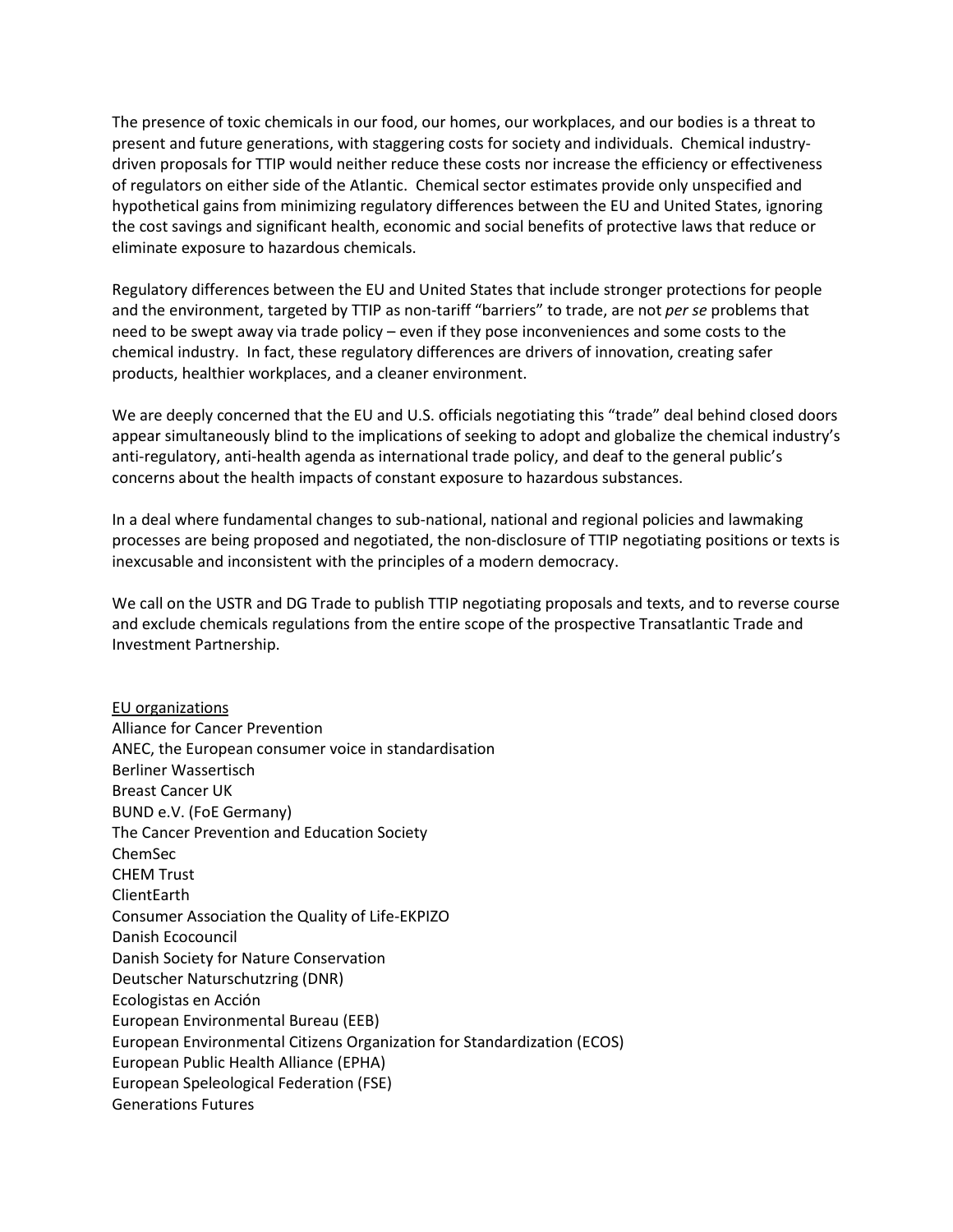The presence of toxic chemicals in our food, our homes, our workplaces, and our bodies is a threat to present and future generations, with staggering costs for society and individuals. Chemical industrydriven proposals for TTIP would neither reduce these costs nor increase the efficiency or effectiveness of regulators on either side of the Atlantic. Chemical sector estimates provide only unspecified and hypothetical gains from minimizing regulatory differences between the EU and United States, ignoring the cost savings and significant health, economic and social benefits of protective laws that reduce or eliminate exposure to hazardous chemicals.

Regulatory differences between the EU and United States that include stronger protections for people and the environment, targeted by TTIP as non-tariff "barriers" to trade, are not *per se* problems that need to be swept away via trade policy – even if they pose inconveniences and some costs to the chemical industry. In fact, these regulatory differences are drivers of innovation, creating safer products, healthier workplaces, and a cleaner environment.

We are deeply concerned that the EU and U.S. officials negotiating this "trade" deal behind closed doors appear simultaneously blind to the implications of seeking to adopt and globalize the chemical industry's anti-regulatory, anti-health agenda as international trade policy, and deaf to the general public's concerns about the health impacts of constant exposure to hazardous substances.

In a deal where fundamental changes to sub-national, national and regional policies and lawmaking processes are being proposed and negotiated, the non-disclosure of TTIP negotiating positions or texts is inexcusable and inconsistent with the principles of a modern democracy.

We call on the USTR and DG Trade to publish TTIP negotiating proposals and texts, and to reverse course and exclude chemicals regulations from the entire scope of the prospective Transatlantic Trade and Investment Partnership.

EU organizations Alliance for Cancer Prevention ANEC, the European consumer voice in standardisation Berliner Wassertisch Breast Cancer UK BUND e.V. (FoE Germany) The Cancer Prevention and Education Society ChemSec CHEM Trust ClientEarth Consumer Association the Quality of Life-EKPIZO Danish Ecocouncil Danish Society for Nature Conservation Deutscher Naturschutzring (DNR) Ecologistas en Acción European Environmental Bureau (EEB) European Environmental Citizens Organization for Standardization (ECOS) European Public Health Alliance (EPHA) European Speleological Federation (FSE) Generations Futures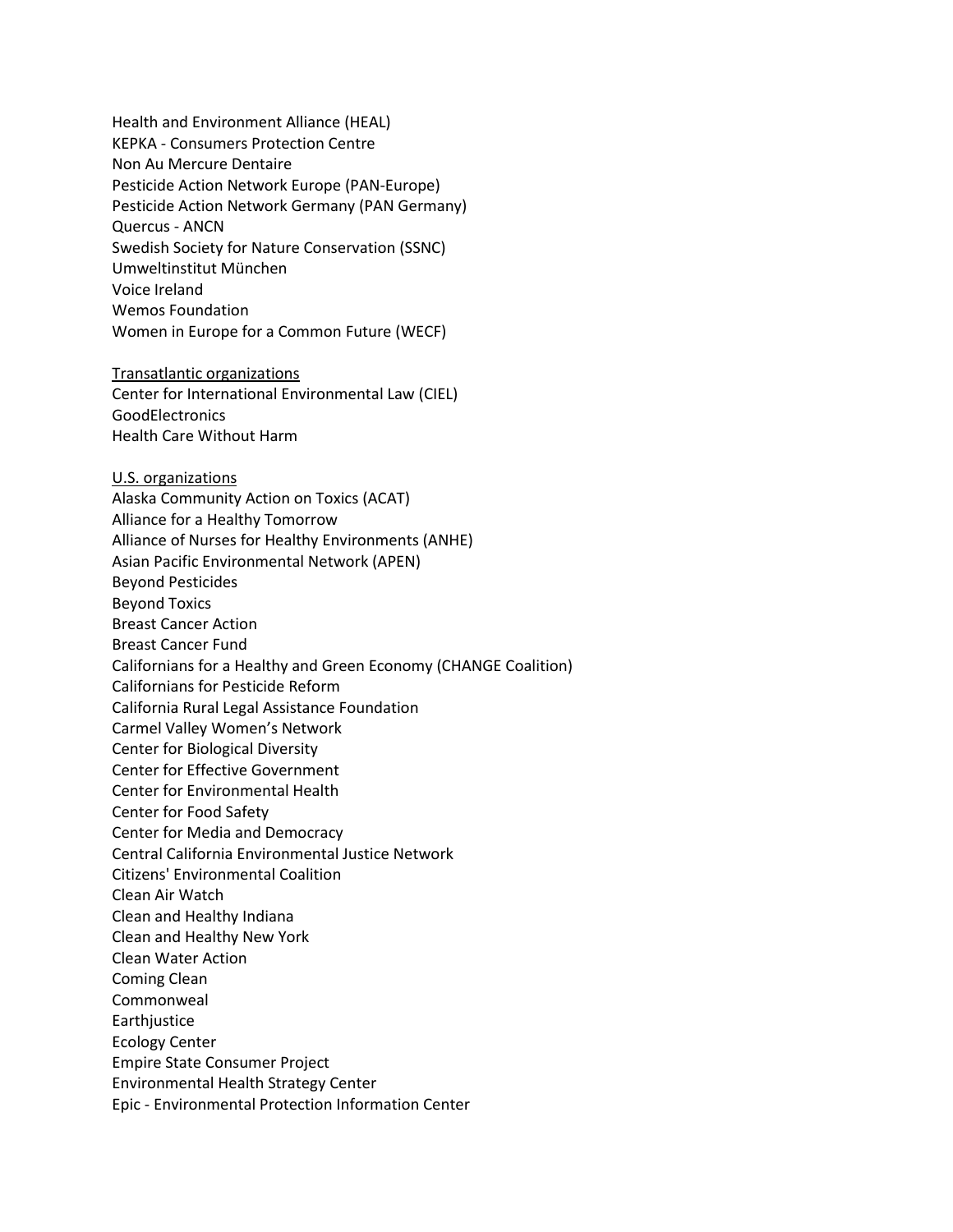Health and Environment Alliance (HEAL) KEPKA - Consumers Protection Centre Non Au Mercure Dentaire Pesticide Action Network Europe (PAN-Europe) Pesticide Action Network Germany (PAN Germany) Quercus - ANCN Swedish Society for Nature Conservation (SSNC) Umweltinstitut München Voice Ireland Wemos Foundation Women in Europe for a Common Future (WECF) Transatlantic organizations Center for International Environmental Law (CIEL) GoodElectronics Health Care Without Harm U.S. organizations Alaska Community Action on Toxics (ACAT) Alliance for a Healthy Tomorrow Alliance of Nurses for Healthy Environments (ANHE) Asian Pacific Environmental Network (APEN) Beyond Pesticides Beyond Toxics Breast Cancer Action Breast Cancer Fund Californians for a Healthy and Green Economy (CHANGE Coalition) Californians for Pesticide Reform California Rural Legal Assistance Foundation Carmel Valley Women's Network Center for Biological Diversity Center for Effective Government Center for Environmental Health Center for Food Safety Center for Media and Democracy Central California Environmental Justice Network Citizens' Environmental Coalition Clean Air Watch Clean and Healthy Indiana Clean and Healthy New York Clean Water Action Coming Clean Commonweal Earthjustice Ecology Center Empire State Consumer Project Environmental Health Strategy Center Epic - Environmental Protection Information Center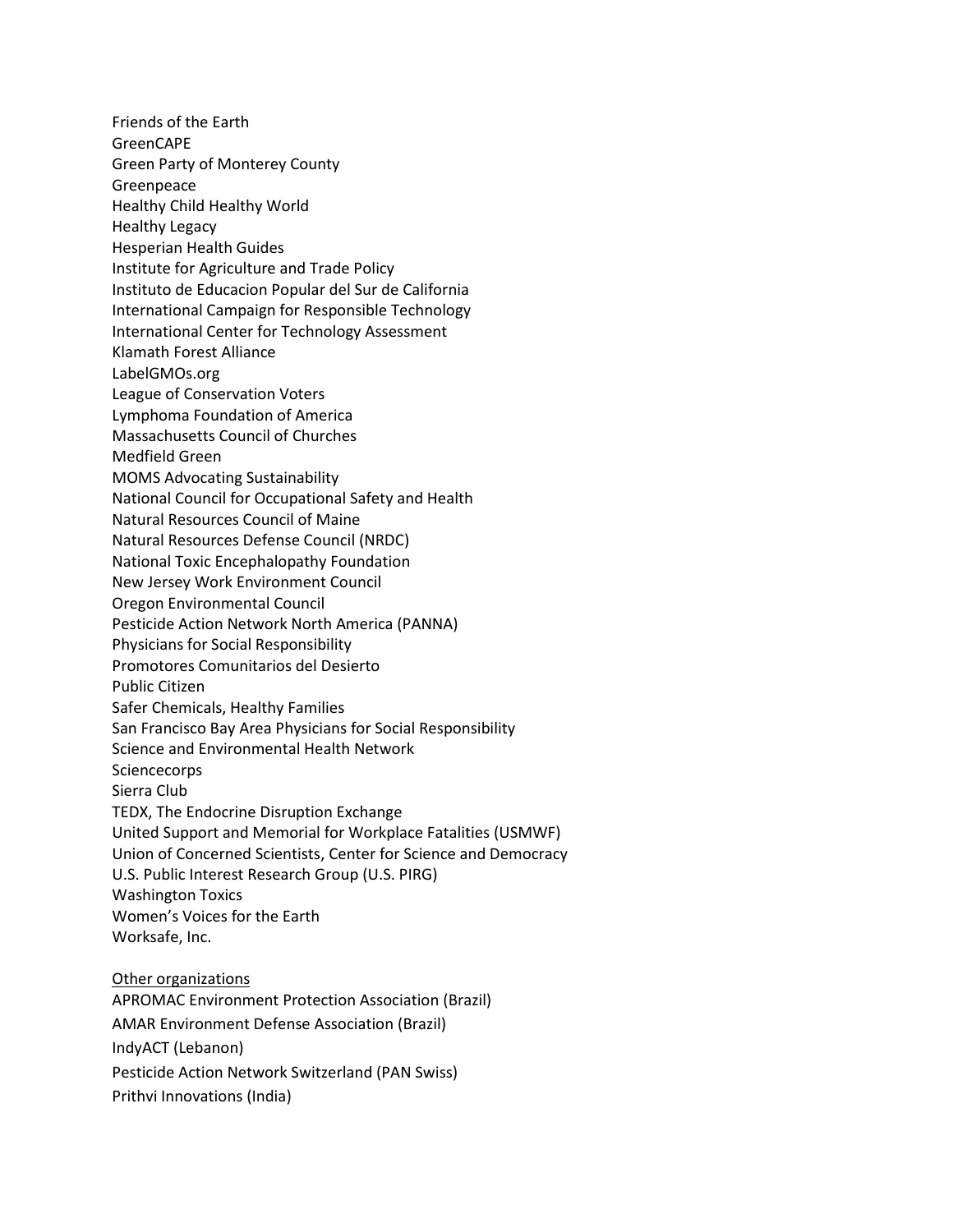Friends of the Earth GreenCAPE Green Party of Monterey County Greenpeace Healthy Child Healthy World Healthy Legacy Hesperian Health Guides Institute for Agriculture and Trade Policy Instituto de Educacion Popular del Sur de California International Campaign for Responsible Technology International Center for Technology Assessment Klamath Forest Alliance LabelGMOs.org League of Conservation Voters Lymphoma Foundation of America Massachusetts Council of Churches Medfield Green MOMS Advocating Sustainability National Council for Occupational Safety and Health Natural Resources Council of Maine Natural Resources Defense Council (NRDC) National Toxic Encephalopathy Foundation New Jersey Work Environment Council Oregon Environmental Council Pesticide Action Network North America (PANNA) Physicians for Social Responsibility Promotores Comunitarios del Desierto Public Citizen Safer Chemicals, Healthy Families San Francisco Bay Area Physicians for Social Responsibility Science and Environmental Health Network **Sciencecorps** Sierra Club TEDX, The Endocrine Disruption Exchange United Support and Memorial for Workplace Fatalities (USMWF) Union of Concerned Scientists, Center for Science and Democracy U.S. Public Interest Research Group (U.S. PIRG) Washington Toxics Women's Voices for the Earth Worksafe, Inc. Other organizations APROMAC Environment Protection Association (Brazil) AMAR Environment Defense Association (Brazil)

IndyACT (Lebanon)

Pesticide Action Network Switzerland (PAN Swiss)

Prithvi Innovations (India)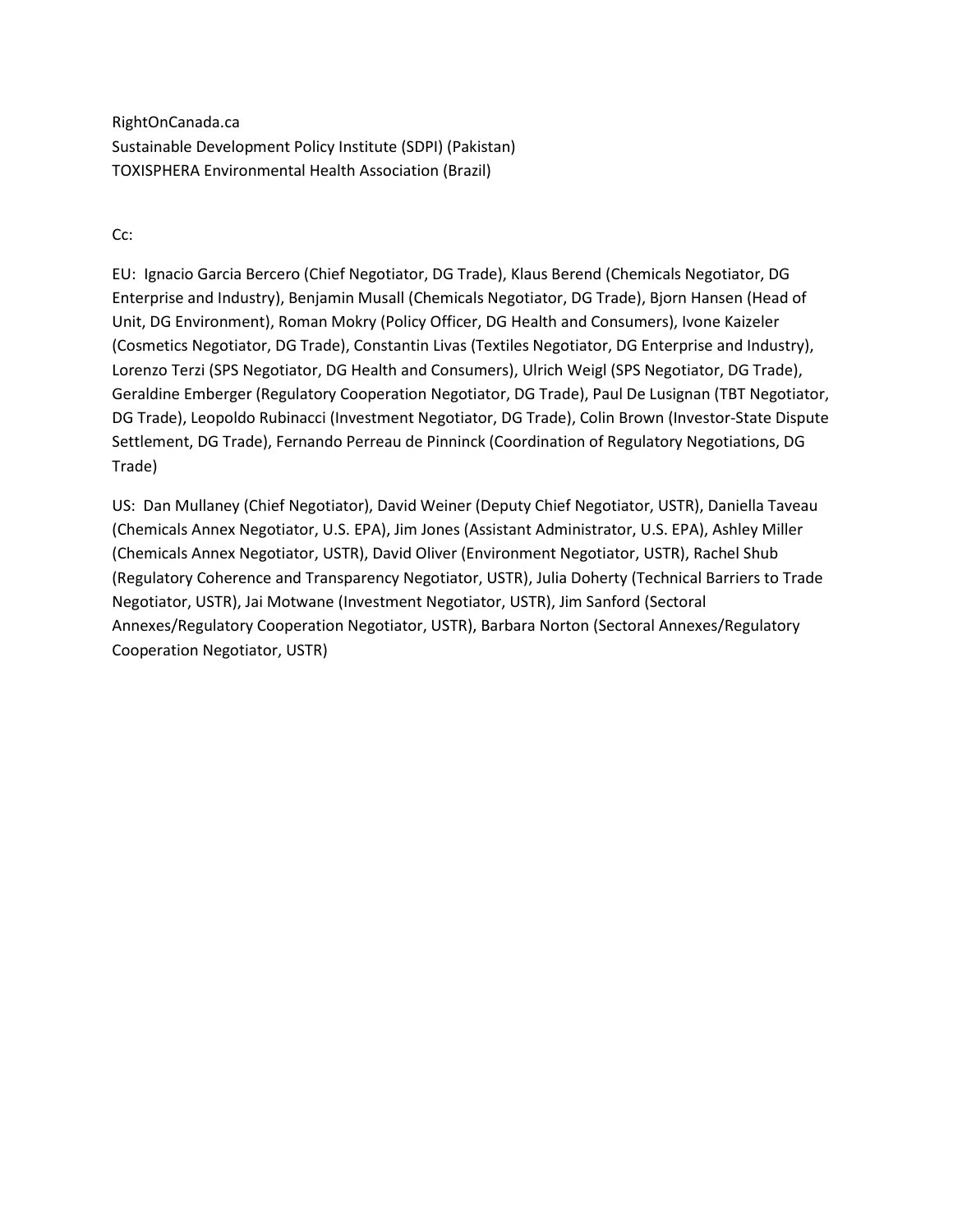RightOnCanada.ca Sustainable Development Policy Institute (SDPI) (Pakistan) TOXISPHERA Environmental Health Association (Brazil)

Cc:

EU: Ignacio Garcia Bercero (Chief Negotiator, DG Trade), Klaus Berend (Chemicals Negotiator, DG Enterprise and Industry), Benjamin Musall (Chemicals Negotiator, DG Trade), Bjorn Hansen (Head of Unit, DG Environment), Roman Mokry (Policy Officer, DG Health and Consumers), Ivone Kaizeler (Cosmetics Negotiator, DG Trade), Constantin Livas (Textiles Negotiator, DG Enterprise and Industry), Lorenzo Terzi (SPS Negotiator, DG Health and Consumers), Ulrich Weigl (SPS Negotiator, DG Trade), Geraldine Emberger (Regulatory Cooperation Negotiator, DG Trade), Paul De Lusignan (TBT Negotiator, DG Trade), Leopoldo Rubinacci (Investment Negotiator, DG Trade), Colin Brown (Investor-State Dispute Settlement, DG Trade), Fernando Perreau de Pinninck (Coordination of Regulatory Negotiations, DG Trade)

US: Dan Mullaney (Chief Negotiator), David Weiner (Deputy Chief Negotiator, USTR), Daniella Taveau (Chemicals Annex Negotiator, U.S. EPA), Jim Jones (Assistant Administrator, U.S. EPA), Ashley Miller (Chemicals Annex Negotiator, USTR), David Oliver (Environment Negotiator, USTR), Rachel Shub (Regulatory Coherence and Transparency Negotiator, USTR), Julia Doherty (Technical Barriers to Trade Negotiator, USTR), Jai Motwane (Investment Negotiator, USTR), Jim Sanford (Sectoral Annexes/Regulatory Cooperation Negotiator, USTR), Barbara Norton (Sectoral Annexes/Regulatory Cooperation Negotiator, USTR)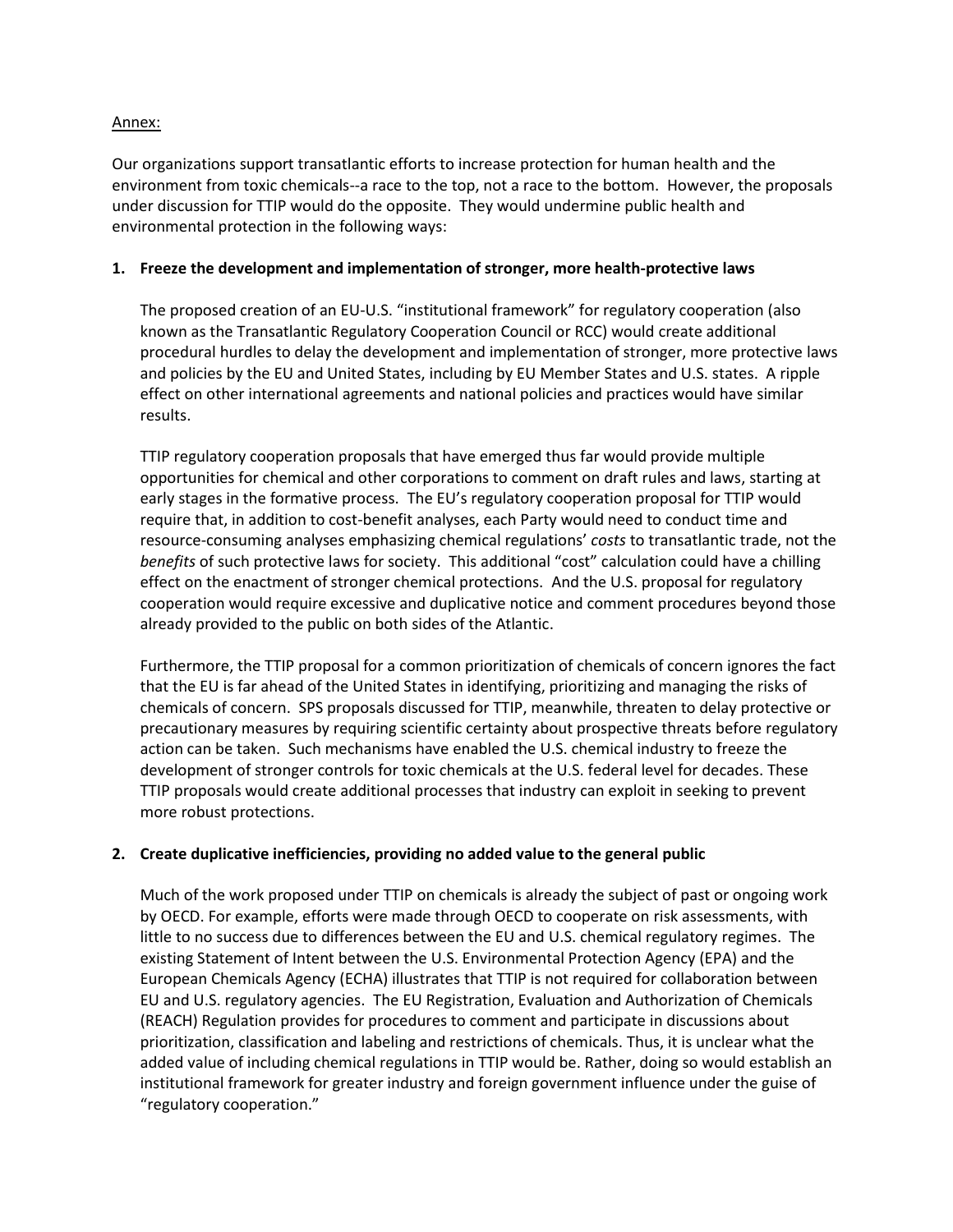### Annex:

Our organizations support transatlantic efforts to increase protection for human health and the environment from toxic chemicals--a race to the top, not a race to the bottom. However, the proposals under discussion for TTIP would do the opposite. They would undermine public health and environmental protection in the following ways:

#### **1. Freeze the development and implementation of stronger, more health-protective laws**

The proposed creation of an EU-U.S. "institutional framework" for regulatory cooperation (also known as the Transatlantic Regulatory Cooperation Council or RCC) would create additional procedural hurdles to delay the development and implementation of stronger, more protective laws and policies by the EU and United States, including by EU Member States and U.S. states. A ripple effect on other international agreements and national policies and practices would have similar results.

TTIP regulatory cooperation proposals that have emerged thus far would provide multiple opportunities for chemical and other corporations to comment on draft rules and laws, starting at early stages in the formative process. The EU's regulatory cooperation proposal for TTIP would require that, in addition to cost-benefit analyses, each Party would need to conduct time and resource-consuming analyses emphasizing chemical regulations' *costs* to transatlantic trade, not the *benefits* of such protective laws for society. This additional "cost" calculation could have a chilling effect on the enactment of stronger chemical protections. And the U.S. proposal for regulatory cooperation would require excessive and duplicative notice and comment procedures beyond those already provided to the public on both sides of the Atlantic.

Furthermore, the TTIP proposal for a common prioritization of chemicals of concern ignores the fact that the EU is far ahead of the United States in identifying, prioritizing and managing the risks of chemicals of concern. SPS proposals discussed for TTIP, meanwhile, threaten to delay protective or precautionary measures by requiring scientific certainty about prospective threats before regulatory action can be taken. Such mechanisms have enabled the U.S. chemical industry to freeze the development of stronger controls for toxic chemicals at the U.S. federal level for decades. These TTIP proposals would create additional processes that industry can exploit in seeking to prevent more robust protections.

### **2. Create duplicative inefficiencies, providing no added value to the general public**

Much of the work proposed under TTIP on chemicals is already the subject of past or ongoing work by OECD. For example, efforts were made through OECD to cooperate on risk assessments, with little to no success due to differences between the EU and U.S. chemical regulatory regimes. The existing Statement of Intent between the U.S. Environmental Protection Agency (EPA) and the European Chemicals Agency (ECHA) illustrates that TTIP is not required for collaboration between EU and U.S. regulatory agencies. The EU Registration, Evaluation and Authorization of Chemicals (REACH) Regulation provides for procedures to comment and participate in discussions about prioritization, classification and labeling and restrictions of chemicals. Thus, it is unclear what the added value of including chemical regulations in TTIP would be. Rather, doing so would establish an institutional framework for greater industry and foreign government influence under the guise of "regulatory cooperation."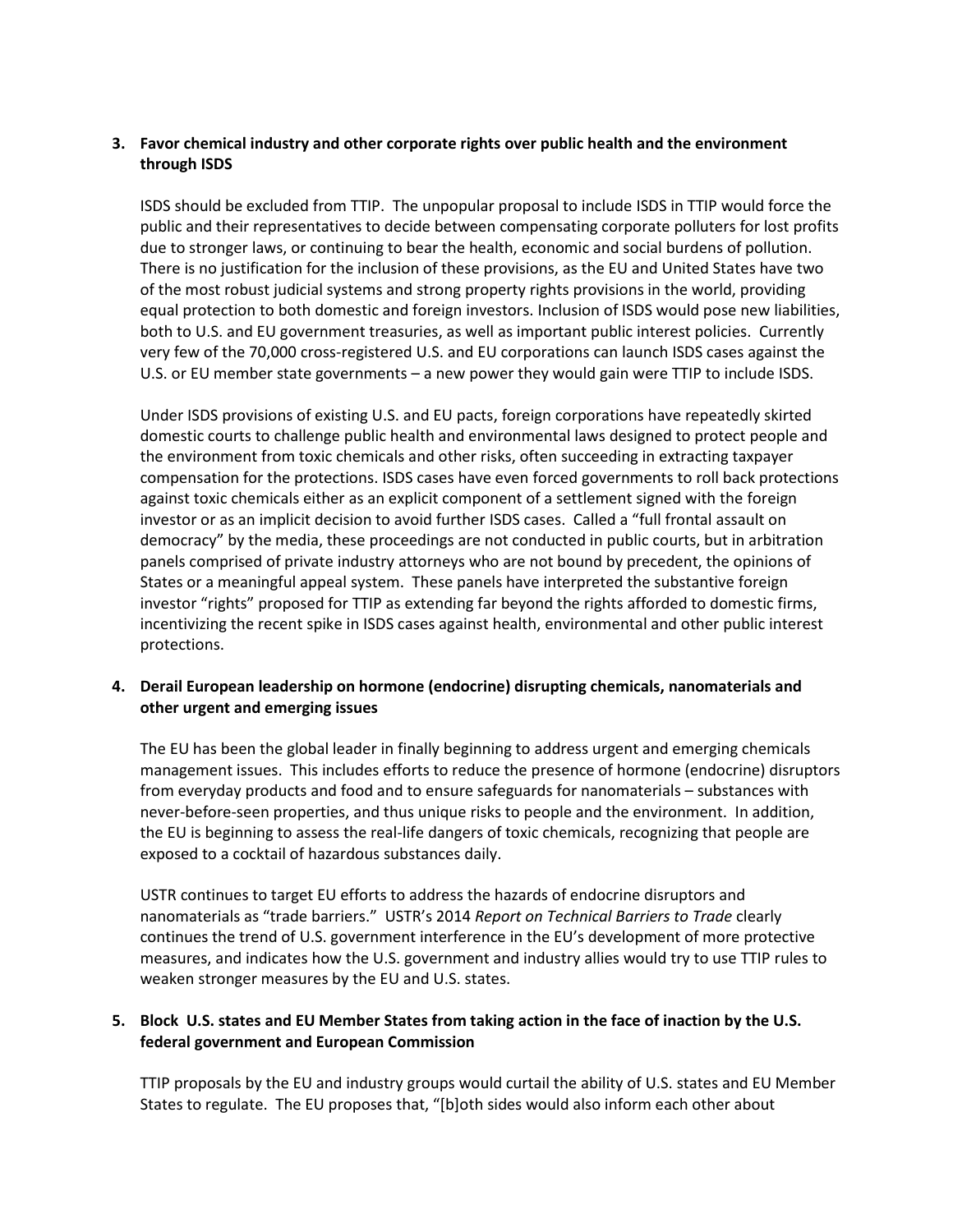# **3. Favor chemical industry and other corporate rights over public health and the environment through ISDS**

ISDS should be excluded from TTIP. The unpopular proposal to include ISDS in TTIP would force the public and their representatives to decide between compensating corporate polluters for lost profits due to stronger laws, or continuing to bear the health, economic and social burdens of pollution. There is no justification for the inclusion of these provisions, as the EU and United States have two of the most robust judicial systems and strong property rights provisions in the world, providing equal protection to both domestic and foreign investors. Inclusion of ISDS would pose new liabilities, both to U.S. and EU government treasuries, as well as important public interest policies. Currently very few of the 70,000 cross-registered U.S. and EU corporations can launch ISDS cases against the U.S. or EU member state governments – a new power they would gain were TTIP to include ISDS.

Under ISDS provisions of existing U.S. and EU pacts, foreign corporations have repeatedly skirted domestic courts to challenge public health and environmental laws designed to protect people and the environment from toxic chemicals and other risks, often succeeding in extracting taxpayer compensation for the protections. ISDS cases have even forced governments to roll back protections against toxic chemicals either as an explicit component of a settlement signed with the foreign investor or as an implicit decision to avoid further ISDS cases. Called a "full frontal assault on democracy" by the media, these proceedings are not conducted in public courts, but in arbitration panels comprised of private industry attorneys who are not bound by precedent, the opinions of States or a meaningful appeal system. These panels have interpreted the substantive foreign investor "rights" proposed for TTIP as extending far beyond the rights afforded to domestic firms, incentivizing the recent spike in ISDS cases against health, environmental and other public interest protections.

## **4. Derail European leadership on hormone (endocrine) disrupting chemicals, nanomaterials and other urgent and emerging issues**

The EU has been the global leader in finally beginning to address urgent and emerging chemicals management issues. This includes efforts to reduce the presence of hormone (endocrine) disruptors from everyday products and food and to ensure safeguards for nanomaterials – substances with never-before-seen properties, and thus unique risks to people and the environment. In addition, the EU is beginning to assess the real-life dangers of toxic chemicals, recognizing that people are exposed to a cocktail of hazardous substances daily.

USTR continues to target EU efforts to address the hazards of endocrine disruptors and nanomaterials as "trade barriers." USTR's 2014 *Report on Technical Barriers to Trade* clearly continues the trend of U.S. government interference in the EU's development of more protective measures, and indicates how the U.S. government and industry allies would try to use TTIP rules to weaken stronger measures by the EU and U.S. states.

## **5. Block U.S. states and EU Member States from taking action in the face of inaction by the U.S. federal government and European Commission**

TTIP proposals by the EU and industry groups would curtail the ability of U.S. states and EU Member States to regulate. The EU proposes that, "[b]oth sides would also inform each other about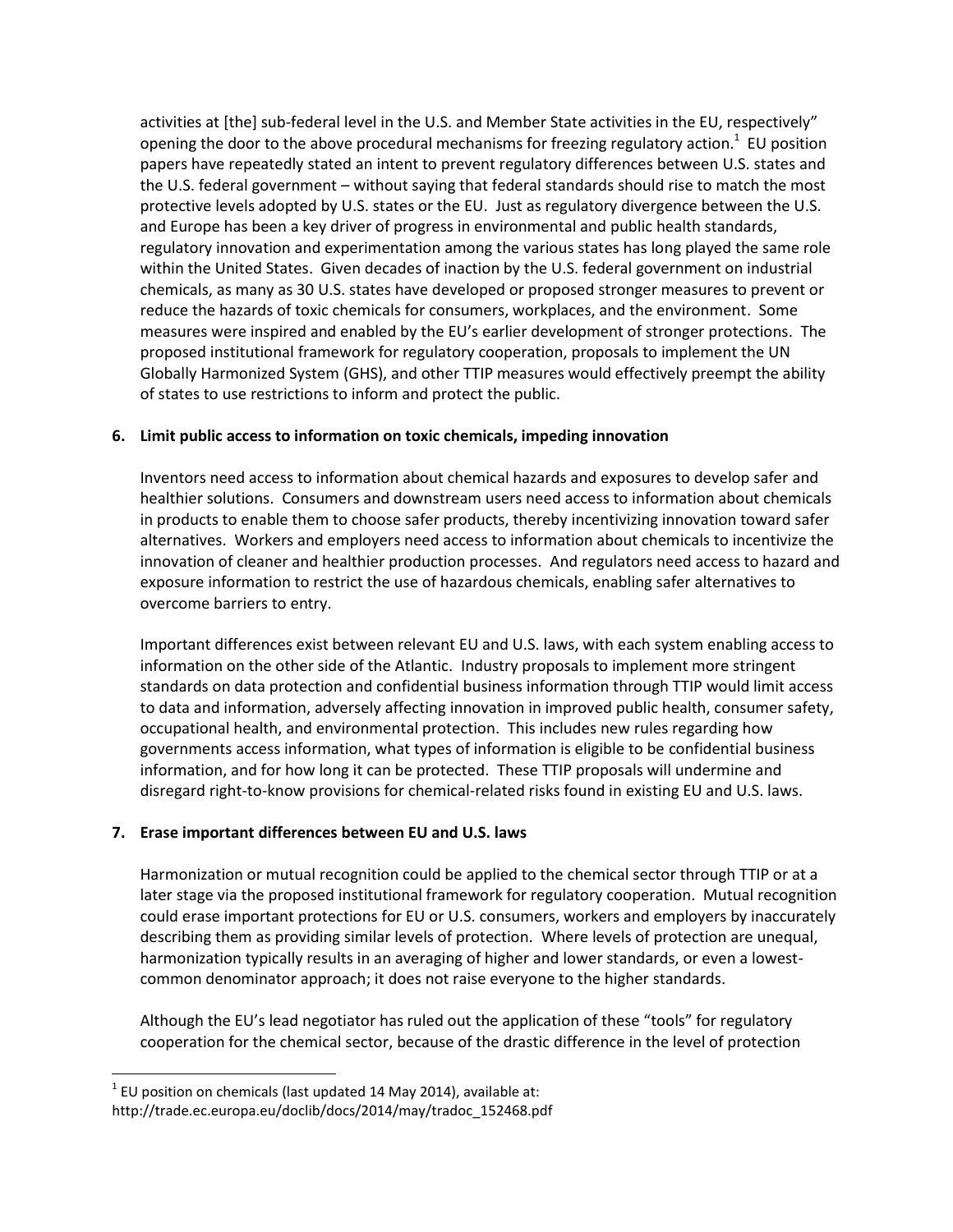activities at [the] sub-federal level in the U.S. and Member State activities in the EU, respectively" opening the door to the above procedural mechanisms for freezing regulatory action.<sup>1</sup> EU position papers have repeatedly stated an intent to prevent regulatory differences between U.S. states and the U.S. federal government – without saying that federal standards should rise to match the most protective levels adopted by U.S. states or the EU. Just as regulatory divergence between the U.S. and Europe has been a key driver of progress in environmental and public health standards, regulatory innovation and experimentation among the various states has long played the same role within the United States. Given decades of inaction by the U.S. federal government on industrial chemicals, as many as 30 U.S. states have developed or proposed stronger measures to prevent or reduce the hazards of toxic chemicals for consumers, workplaces, and the environment. Some measures were inspired and enabled by the EU's earlier development of stronger protections. The proposed institutional framework for regulatory cooperation, proposals to implement the UN Globally Harmonized System (GHS), and other TTIP measures would effectively preempt the ability of states to use restrictions to inform and protect the public.

### **6. Limit public access to information on toxic chemicals, impeding innovation**

Inventors need access to information about chemical hazards and exposures to develop safer and healthier solutions. Consumers and downstream users need access to information about chemicals in products to enable them to choose safer products, thereby incentivizing innovation toward safer alternatives. Workers and employers need access to information about chemicals to incentivize the innovation of cleaner and healthier production processes. And regulators need access to hazard and exposure information to restrict the use of hazardous chemicals, enabling safer alternatives to overcome barriers to entry.

Important differences exist between relevant EU and U.S. laws, with each system enabling access to information on the other side of the Atlantic. Industry proposals to implement more stringent standards on data protection and confidential business information through TTIP would limit access to data and information, adversely affecting innovation in improved public health, consumer safety, occupational health, and environmental protection. This includes new rules regarding how governments access information, what types of information is eligible to be confidential business information, and for how long it can be protected. These TTIP proposals will undermine and disregard right-to-know provisions for chemical-related risks found in existing EU and U.S. laws.

### **7. Erase important differences between EU and U.S. laws**

Harmonization or mutual recognition could be applied to the chemical sector through TTIP or at a later stage via the proposed institutional framework for regulatory cooperation. Mutual recognition could erase important protections for EU or U.S. consumers, workers and employers by inaccurately describing them as providing similar levels of protection. Where levels of protection are unequal, harmonization typically results in an averaging of higher and lower standards, or even a lowestcommon denominator approach; it does not raise everyone to the higher standards.

Although the EU's lead negotiator has ruled out the application of these "tools" for regulatory cooperation for the chemical sector, because of the drastic difference in the level of protection

l

 $^{1}$  EU position on chemicals (last updated 14 May 2014), available at: [http://trade.ec.europa.eu/doclib/docs/2014/may/tradoc\\_152468.pdf](http://trade.ec.europa.eu/doclib/docs/2014/may/tradoc_152468.pdf)